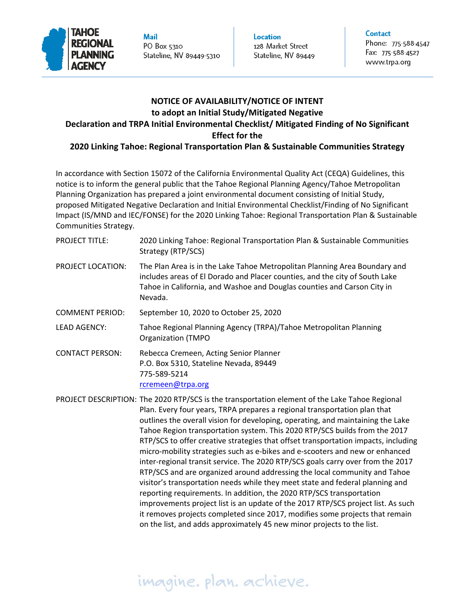

**Mail** PO Box 5310 Stateline, NV 89449-5310 **Location** 128 Market Street Stateline, NV 89449

Phone: 775-588-4547 Fax: 775-588-4527 www.trpa.org

### **NOTICE OF AVAILABILITY/NOTICE OF INTENT to adopt an Initial Study/Mitigated Negative**

# **Declaration and TRPA Initial Environmental Checklist/ Mitigated Finding of No Significant**

#### **Effect for the**

#### **2020 Linking Tahoe: Regional Transportation Plan & Sustainable Communities Strategy**

In accordance with Section 15072 of the California Environmental Quality Act (CEQA) Guidelines, this notice is to inform the general public that the Tahoe Regional Planning Agency/Tahoe Metropolitan Planning Organization has prepared a joint environmental document consisting of Initial Study, proposed Mitigated Negative Declaration and Initial Environmental Checklist/Finding of No Significant Impact (IS/MND and IEC/FONSE) for the 2020 Linking Tahoe: Regional Transportation Plan & Sustainable Communities Strategy.

| <b>PROJECT TITLE:</b>                                                                          | 2020 Linking Tahoe: Regional Transportation Plan & Sustainable Communities<br>Strategy (RTP/SCS)                                                                                                                                                |
|------------------------------------------------------------------------------------------------|-------------------------------------------------------------------------------------------------------------------------------------------------------------------------------------------------------------------------------------------------|
| PROJECT LOCATION:                                                                              | The Plan Area is in the Lake Tahoe Metropolitan Planning Area Boundary and<br>includes areas of El Dorado and Placer counties, and the city of South Lake<br>Tahoe in California, and Washoe and Douglas counties and Carson City in<br>Nevada. |
| <b>COMMENT PERIOD:</b>                                                                         | September 10, 2020 to October 25, 2020                                                                                                                                                                                                          |
| <b>LEAD AGENCY:</b>                                                                            | Tahoe Regional Planning Agency (TRPA)/Tahoe Metropolitan Planning<br><b>Organization (TMPO</b>                                                                                                                                                  |
| <b>CONTACT PERSON:</b>                                                                         | Rebecca Cremeen, Acting Senior Planner<br>P.O. Box 5310, Stateline Nevada, 89449<br>775-589-5214<br>rcremeen@trpa.org                                                                                                                           |
| PROJECT DESCRIPTION: The 2020 RTP/SCS is the transportation element of the Lake Tahoe Regional |                                                                                                                                                                                                                                                 |

) RTP/SCS is the transportation element of the Lake Tahoe Regional Plan. Every four years, TRPA prepares a regional transportation plan that outlines the overall vision for developing, operating, and maintaining the Lake Tahoe Region transportation system. This 2020 RTP/SCS builds from the 2017 RTP/SCS to offer creative strategies that offset transportation impacts, including micro‐mobility strategies such as e‐bikes and e‐scooters and new or enhanced inter‐regional transit service. The 2020 RTP/SCS goals carry over from the 2017 RTP/SCS and are organized around addressing the local community and Tahoe visitor's transportation needs while they meet state and federal planning and reporting requirements. In addition, the 2020 RTP/SCS transportation improvements project list is an update of the 2017 RTP/SCS project list. As such it removes projects completed since 2017, modifies some projects that remain on the list, and adds approximately 45 new minor projects to the list.

# imagine. plan. achieve.